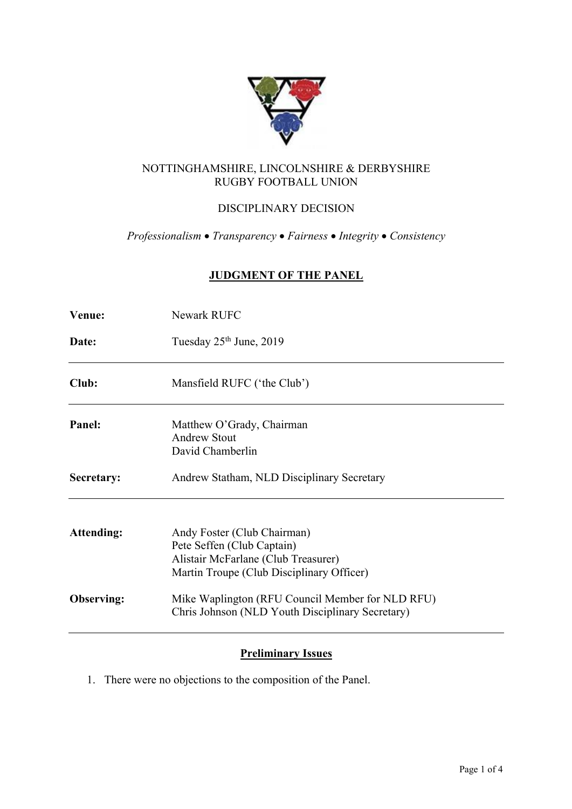

# NOTTINGHAMSHIRE, LINCOLNSHIRE & DERBYSHIRE RUGBY FOOTBALL UNION

# DISCIPLINARY DECISION

*Professionalism* • *Transparency* • *Fairness* • *Integrity* • *Consistency*

# **JUDGMENT OF THE PANEL**

| Venue:            | Newark RUFC                                                                                                                                   |  |  |  |
|-------------------|-----------------------------------------------------------------------------------------------------------------------------------------------|--|--|--|
| Date:             | Tuesday 25 <sup>th</sup> June, 2019                                                                                                           |  |  |  |
| Club:             | Mansfield RUFC ('the Club')                                                                                                                   |  |  |  |
| Panel:            | Matthew O'Grady, Chairman<br><b>Andrew Stout</b><br>David Chamberlin                                                                          |  |  |  |
| Secretary:        | Andrew Statham, NLD Disciplinary Secretary                                                                                                    |  |  |  |
| <b>Attending:</b> | Andy Foster (Club Chairman)<br>Pete Seffen (Club Captain)<br>Alistair McFarlane (Club Treasurer)<br>Martin Troupe (Club Disciplinary Officer) |  |  |  |
| Observing:        | Mike Waplington (RFU Council Member for NLD RFU)<br>Chris Johnson (NLD Youth Disciplinary Secretary)                                          |  |  |  |

## **Preliminary Issues**

1. There were no objections to the composition of the Panel.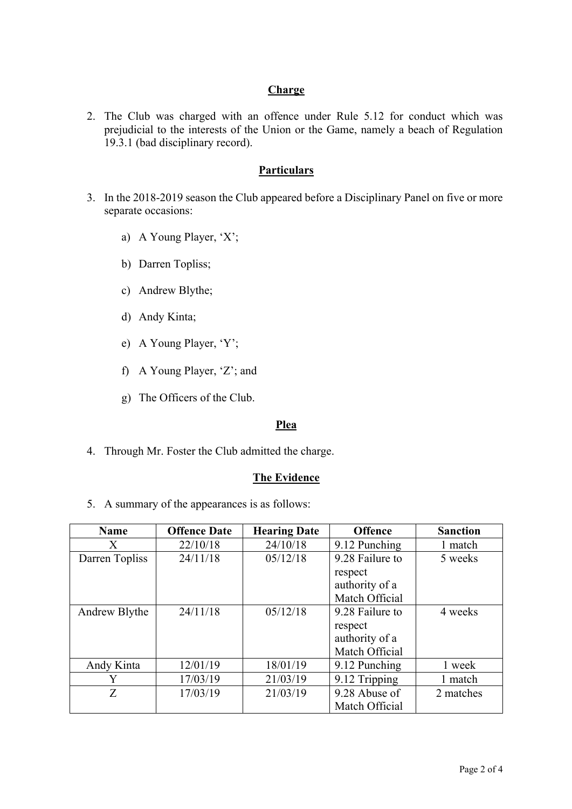## **Charge**

2. The Club was charged with an offence under Rule 5.12 for conduct which was prejudicial to the interests of the Union or the Game, namely a beach of Regulation 19.3.1 (bad disciplinary record).

### **Particulars**

- 3. In the 2018-2019 season the Club appeared before a Disciplinary Panel on five or more separate occasions:
	- a) A Young Player, 'X';
	- b) Darren Topliss;
	- c) Andrew Blythe;
	- d) Andy Kinta;
	- e) A Young Player, 'Y';
	- f) A Young Player, 'Z'; and
	- g) The Officers of the Club.

#### **Plea**

4. Through Mr. Foster the Club admitted the charge.

### **The Evidence**

5. A summary of the appearances is as follows:

| <b>Name</b>    | <b>Offence Date</b> | <b>Hearing Date</b> | <b>Offence</b>  | <b>Sanction</b> |
|----------------|---------------------|---------------------|-----------------|-----------------|
| X              | 22/10/18            | 24/10/18            | 9.12 Punching   | 1 match         |
| Darren Topliss | 24/11/18            | 05/12/18            | 9.28 Failure to | 5 weeks         |
|                |                     |                     | respect         |                 |
|                |                     |                     | authority of a  |                 |
|                |                     |                     | Match Official  |                 |
| Andrew Blythe  | 24/11/18            | 05/12/18            | 9.28 Failure to | 4 weeks         |
|                |                     |                     | respect         |                 |
|                |                     |                     | authority of a  |                 |
|                |                     |                     | Match Official  |                 |
| Andy Kinta     | 12/01/19            | 18/01/19            | 9.12 Punching   | 1 week          |
| Y              | 17/03/19            | 21/03/19            | 9.12 Tripping   | 1 match         |
| Z              | 17/03/19            | 21/03/19            | 9.28 Abuse of   | 2 matches       |
|                |                     |                     | Match Official  |                 |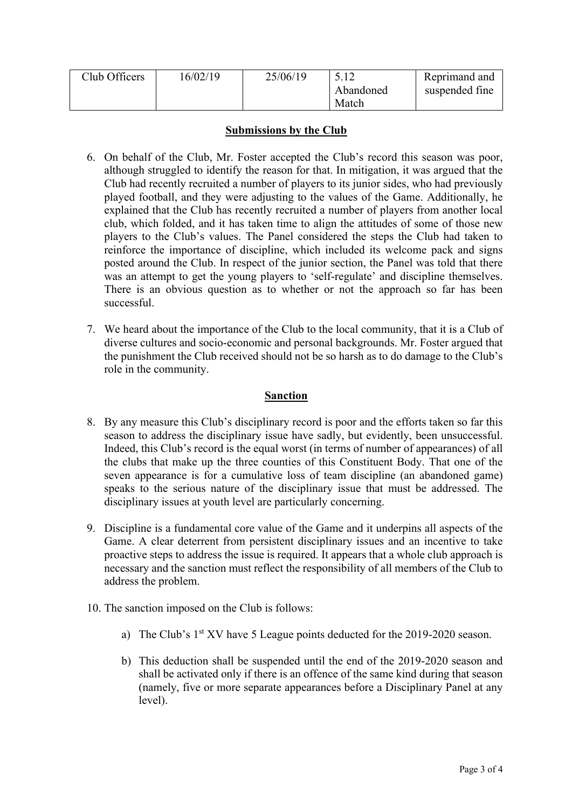| Club Officers | 6/02/19 | 25/06/19 |           | Reprimand and  |
|---------------|---------|----------|-----------|----------------|
|               |         |          | Abandoned | suspended fine |
|               |         |          | Match     |                |

### **Submissions by the Club**

- 6. On behalf of the Club, Mr. Foster accepted the Club's record this season was poor, although struggled to identify the reason for that. In mitigation, it was argued that the Club had recently recruited a number of players to its junior sides, who had previously played football, and they were adjusting to the values of the Game. Additionally, he explained that the Club has recently recruited a number of players from another local club, which folded, and it has taken time to align the attitudes of some of those new players to the Club's values. The Panel considered the steps the Club had taken to reinforce the importance of discipline, which included its welcome pack and signs posted around the Club. In respect of the junior section, the Panel was told that there was an attempt to get the young players to 'self-regulate' and discipline themselves. There is an obvious question as to whether or not the approach so far has been successful.
- 7. We heard about the importance of the Club to the local community, that it is a Club of diverse cultures and socio-economic and personal backgrounds. Mr. Foster argued that the punishment the Club received should not be so harsh as to do damage to the Club's role in the community.

## **Sanction**

- 8. By any measure this Club's disciplinary record is poor and the efforts taken so far this season to address the disciplinary issue have sadly, but evidently, been unsuccessful. Indeed, this Club's record is the equal worst (in terms of number of appearances) of all the clubs that make up the three counties of this Constituent Body. That one of the seven appearance is for a cumulative loss of team discipline (an abandoned game) speaks to the serious nature of the disciplinary issue that must be addressed. The disciplinary issues at youth level are particularly concerning.
- 9. Discipline is a fundamental core value of the Game and it underpins all aspects of the Game. A clear deterrent from persistent disciplinary issues and an incentive to take proactive steps to address the issue is required. It appears that a whole club approach is necessary and the sanction must reflect the responsibility of all members of the Club to address the problem.
- 10. The sanction imposed on the Club is follows:
	- a) The Club's 1<sup>st</sup> XV have 5 League points deducted for the 2019-2020 season.
	- b) This deduction shall be suspended until the end of the 2019-2020 season and shall be activated only if there is an offence of the same kind during that season (namely, five or more separate appearances before a Disciplinary Panel at any level).